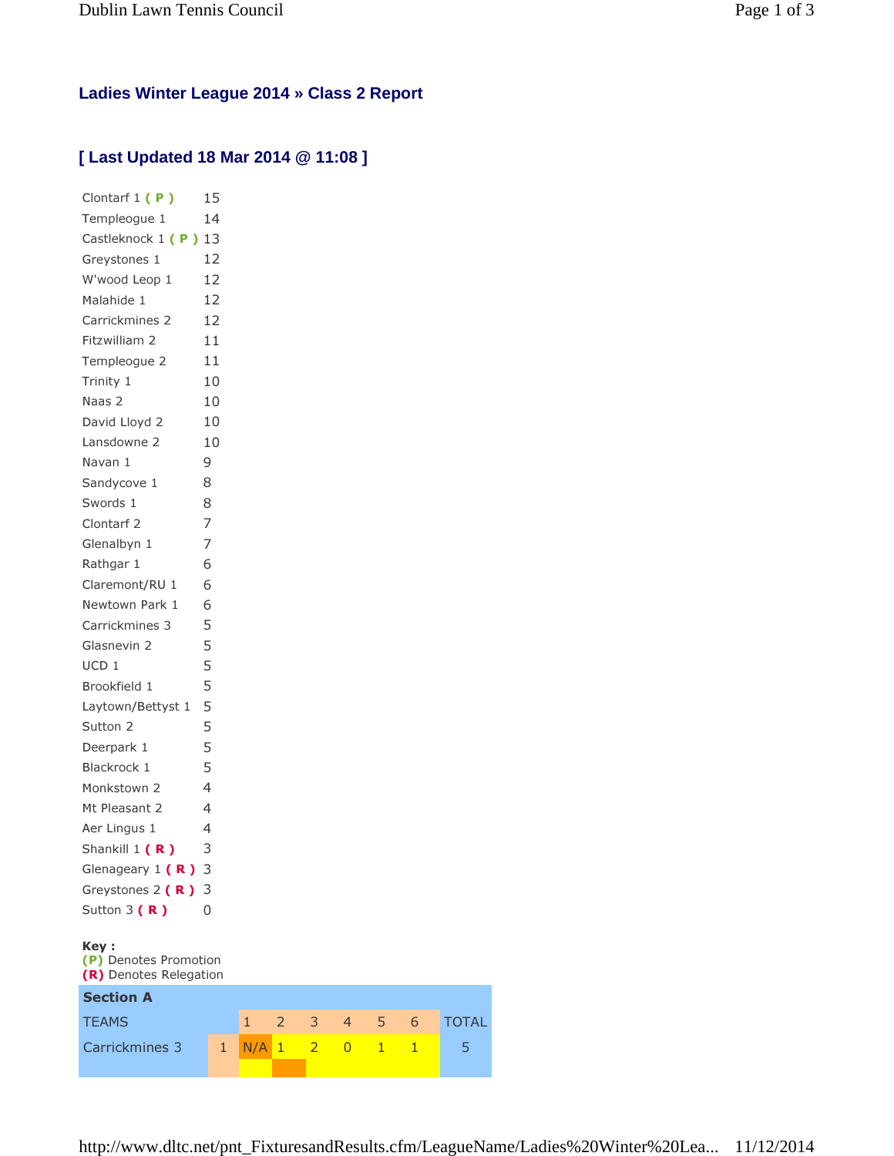## **Ladies Winter League 2014 » Class 2 Report**

## **[ Last Updated 18 Mar 2014 @ 11:08 ]**

| Clontarf 1 (P)                 | 15             |     |           |   |
|--------------------------------|----------------|-----|-----------|---|
| Templeoque 1                   | 14             |     |           |   |
| Castleknock 1 (P) 13           |                |     |           |   |
| Greystones 1                   | 12             |     |           |   |
| W'wood Leop 1                  | 12             |     |           |   |
| Malahide 1                     | 12             |     |           |   |
| Carrickmines 2                 | 12             |     |           |   |
| Fitzwilliam 2                  | 11             |     |           |   |
| Templeogue 2                   | 11             |     |           |   |
| Trinity 1                      | 10             |     |           |   |
| Naas 2                         | 10             |     |           |   |
| David Lloyd 2                  | 10             |     |           |   |
| Lansdowne 2                    | 10             |     |           |   |
| Navan 1                        | 9              |     |           |   |
| Sandycove 1                    | 8              |     |           |   |
| Swords 1                       | 8              |     |           |   |
| Clontarf <sub>2</sub>          | 7              |     |           |   |
| Glenalbyn 1                    | 7              |     |           |   |
| Rathgar 1                      | 6              |     |           |   |
| Claremont/RU 1                 | 6              |     |           |   |
| Newtown Park 1                 | 6              |     |           |   |
| Carrickmines 3                 | 5              |     |           |   |
| Glasnevin 2                    | 5              |     |           |   |
| UCD 1                          | 5              |     |           |   |
| Brookfield 1                   | 5              |     |           |   |
| Laytown/Bettyst 1              | 5              |     |           |   |
| Sutton 2                       | 5              |     |           |   |
| Deerpark 1                     | 5              |     |           |   |
| Blackrock 1                    | 5              |     |           |   |
| Monkstown 2                    | $\overline{4}$ |     |           |   |
| Mt Pleasant 2                  | 4              |     |           |   |
| Aer Lingus 1                   | 4              |     |           |   |
| Shankill 1 (R)                 | 3              |     |           |   |
| Glenageary $1(R)$              | 3              |     |           |   |
| Greystones 2 $(R)$             | 3              |     |           |   |
| Sutton $3(R)$                  | O              |     |           |   |
|                                |                |     |           |   |
| Key :<br>(P) Denotes Promotion |                |     |           |   |
| (R) Denotes Relegation         |                |     |           |   |
| <b>Section A</b>               |                |     |           |   |
| <b>TEAMS</b>                   |                | 1   | 2         | 3 |
| Carrickmines 3                 | 1              | N/A | $\vert$ 1 |   |

4 5 6 TOTAL  $\begin{array}{|c|c|c|c|c|}\n\hline\n0 & 1 & 1 & 5\n\end{array}$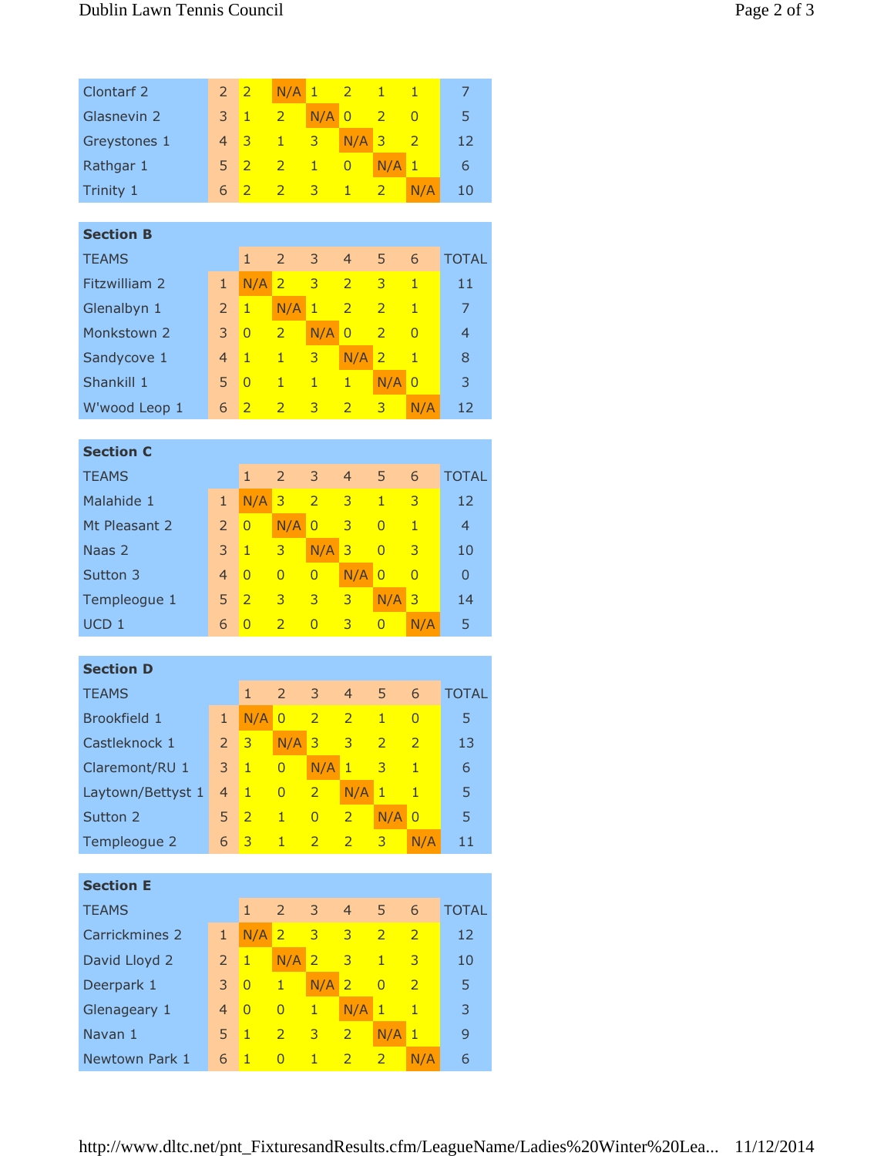| Clontarf <sub>2</sub> | $\overline{2}$ | $\overline{2}$ | N/A            | $\mathbf{1}$   | $\overline{2}$ | $\mathbf{1}$   | $\overline{1}$ | 7                |  |
|-----------------------|----------------|----------------|----------------|----------------|----------------|----------------|----------------|------------------|--|
| Glasnevin 2           | 3              | $\mathbf{1}$   | $\overline{2}$ | N/A            | $\overline{0}$ | $\overline{2}$ | $\overline{0}$ | 5                |  |
| Greystones 1          | $\overline{4}$ | 3              | $\mathbf{1}$   | 3              | N/A            | 3              | $\overline{2}$ | 12               |  |
| Rathgar 1             | 5              | $\overline{2}$ | $\overline{2}$ | $\mathbf{1}$   | $\overline{0}$ | N/A            | $\mathbf{1}$   | 6                |  |
| Trinity 1             | 6              | $\overline{2}$ | $\overline{2}$ | 3              | $\mathbf{1}$   | $\overline{2}$ | N/A            | 10               |  |
|                       |                |                |                |                |                |                |                |                  |  |
| <b>Section B</b>      |                |                |                |                |                |                |                |                  |  |
| <b>TEAMS</b>          |                | $\mathbf{1}$   | $\overline{2}$ | 3              | $\overline{4}$ | 5              | 6              | <b>TOTAL</b>     |  |
| Fitzwilliam 2         | $\mathbf{1}$   | N/A            | $\overline{2}$ | 3              | $\overline{2}$ | 3              | $\overline{1}$ | 11               |  |
| Glenalbyn 1           | $\overline{2}$ | $\mathbf{1}$   | N/A            | $\mathbf{1}$   | $\overline{2}$ | $\overline{2}$ | $\mathbf{1}$   | $\overline{7}$   |  |
| Monkstown 2           | 3              | $\overline{0}$ | $\overline{2}$ | N/A            | $\overline{0}$ | $\overline{2}$ | $\overline{0}$ | $\overline{4}$   |  |
| Sandycove 1           | $\overline{4}$ | $\mathbf{1}$   | 1              | 3              | N/A            | $\overline{2}$ | $\mathbf{1}$   | 8                |  |
| Shankill 1            | 5              | $\overline{0}$ | $\mathbf{1}$   | $\mathbf{1}$   | $\mathbf{1}$   | N/A            | $\overline{0}$ | 3                |  |
| W'wood Leop 1         | 6              | $\overline{2}$ | $\overline{2}$ | 3              | $\overline{2}$ | 3              | N/A            | 12               |  |
|                       |                |                |                |                |                |                |                |                  |  |
| <b>Section C</b>      |                |                |                |                |                |                |                |                  |  |
| <b>TEAMS</b>          |                | $\mathbf{1}$   | $\overline{2}$ | 3              | $\overline{4}$ | 5              | 6              | <b>TOTAL</b>     |  |
| Malahide 1            | $\mathbf{1}$   | N/A            | 3              | $\overline{2}$ | 3              | $\mathbf{1}$   | 3              | 12               |  |
| Mt Pleasant 2         | $\overline{2}$ | $\overline{0}$ | N/A            | $\overline{0}$ | 3              | $\overline{0}$ | $\mathbf{1}$   | $\overline{4}$   |  |
| Naas 2                | 3              | $\mathbf{1}$   | 3              | N/A            | 3              | $\overline{0}$ | 3              | 10               |  |
| Sutton 3              | $\overline{4}$ | $\overline{0}$ | $\overline{0}$ | $\overline{0}$ | N/A            | $\overline{0}$ | $\overline{0}$ | $\overline{0}$   |  |
| Templeogue 1          | 5              | $\overline{2}$ | 3              | 3              | 3              | N/A            | 3              | 14               |  |
| UCD <sub>1</sub>      | 6              | $\overline{0}$ | $\overline{2}$ | $\overline{0}$ | 3              | $\overline{0}$ | N/A            | 5                |  |
|                       |                |                |                |                |                |                |                |                  |  |
| <b>Section D</b>      |                |                |                |                |                |                |                |                  |  |
| <b>TEAMS</b>          |                | $\mathbf{1}$   | $\overline{2}$ | 3              | $\overline{4}$ | 5              | 6              | <b>TOTAL</b>     |  |
| Brookfield 1          | $\mathbf{1}$   | N/A            | $\overline{0}$ | $\overline{2}$ | $\overline{2}$ | $\mathbf{1}$   | $\overline{0}$ | 5                |  |
| Castleknock 1         | $\overline{2}$ | 3              | N/A            | 3              | 3              | $\overline{2}$ | $\overline{2}$ | 13               |  |
| Claremont/RU 1        | 3              | $\mathbf{1}$   | $\overline{0}$ | N/A            | $\mathbf{1}$   | 3              | $\mathbf{1}$   | $\boldsymbol{6}$ |  |
| Laytown/Bettyst 1     | $\overline{4}$ | $\mathbf{1}$   | $\overline{0}$ | $\overline{2}$ | N/A            | $\mathbf{1}$   | $\mathbf{1}$   | 5                |  |
| Sutton 2              | 5              | $\overline{2}$ | $\mathbf{1}$   | $\overline{0}$ | $\overline{2}$ | N/A            | $\overline{0}$ | 5                |  |
| Templeogue 2          | 6              | 3              | $\mathbf{1}$   | $\overline{2}$ | $\overline{2}$ | 3              | N/A            | 11               |  |
|                       |                |                |                |                |                |                |                |                  |  |
| <b>Section E</b>      |                |                |                |                |                |                |                |                  |  |
| <b>TEAMS</b>          |                | $\mathbf{1}$   | $\overline{2}$ | 3              | $\overline{4}$ | 5              | 6              | <b>TOTAL</b>     |  |
| Carrickmines 2        | $\mathbf{1}$   | N/A            | $\overline{2}$ | 3              | 3              | $\overline{2}$ | $\overline{2}$ | 12               |  |
| David Lloyd 2         | $\overline{2}$ | $\mathbf{1}$   | N/A            | $\overline{2}$ | 3              | $\mathbf{1}$   | 3              | 10               |  |
| Deerpark 1<br>3       |                | $\overline{0}$ | $\mathbf{1}$   | N/A            | $\overline{2}$ | $\overline{0}$ | $\overline{2}$ | 5                |  |
| Glenageary 1          | $\overline{4}$ | $\overline{0}$ | $\overline{0}$ | $\mathbf{1}$   | N/A            | $\mathbf{1}$   | $\mathbf{1}$   | 3                |  |
| Navan 1               | 5              | $\mathbf{1}$   | $\overline{2}$ | 3              | $\overline{2}$ | N/A            | $\mathbf{1}$   | 9                |  |
| Newtown Park 1        | 6              | $\mathbf{1}$   | $\overline{0}$ | $\mathbf{1}$   | $\overline{2}$ | $\overline{2}$ | N/A            | 6                |  |